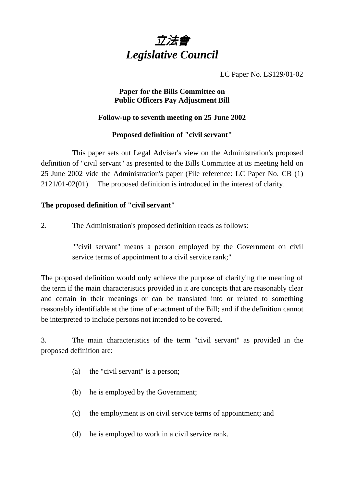

LC Paper No. LS129/01-02

## **Paper for the Bills Committee on Public Officers Pay Adjustment Bill**

# **Follow-up to seventh meeting on 25 June 2002**

## **Proposed definition of "civil servant"**

This paper sets out Legal Adviser's view on the Administration's proposed definition of "civil servant" as presented to the Bills Committee at its meeting held on 25 June 2002 vide the Administration's paper (File reference: LC Paper No. CB (1) 2121/01-02(01). The proposed definition is introduced in the interest of clarity.

## **The proposed definition of "civil servant"**

2. The Administration's proposed definition reads as follows:

""civil servant" means a person employed by the Government on civil service terms of appointment to a civil service rank;"

The proposed definition would only achieve the purpose of clarifying the meaning of the term if the main characteristics provided in it are concepts that are reasonably clear and certain in their meanings or can be translated into or related to something reasonably identifiable at the time of enactment of the Bill; and if the definition cannot be interpreted to include persons not intended to be covered.

3. The main characteristics of the term "civil servant" as provided in the proposed definition are:

- (a) the "civil servant" is a person;
- (b) he is employed by the Government;
- (c) the employment is on civil service terms of appointment; and
- (d) he is employed to work in a civil service rank.